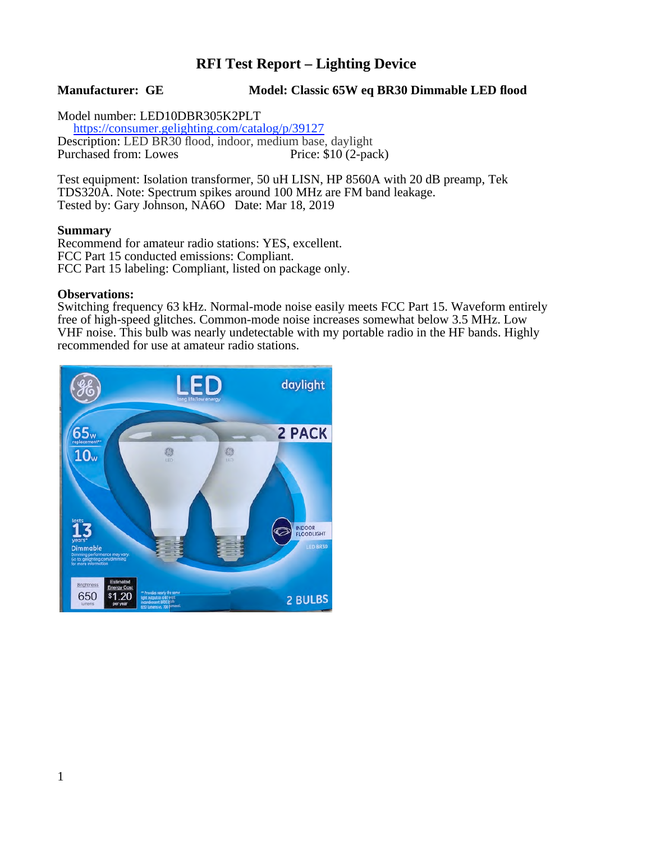# **RFI Test Report – Lighting Device**

### **Manufacturer: GE Model: Classic 65W eq BR30 Dimmable LED flood**

Model number: LED10DBR305K2PLT<br>https://consumer.gelighting.com/catalog/p/39127 Description: LED BR30 flood, indoor, medium base, daylight<br>Purchased from: Lowes Price: \$10 (2-pack) Purchased from: Lowes

Test equipment: Isolation transformer, 50 uH LISN, HP 8560A with 20 dB preamp, Tek TDS320A. Note: Spectrum spikes around 100 MHz are FM band leakage. Tested by: Gary Johnson, NA6O Date: Mar 18, 2019

#### **Summary**

Recommend for amateur radio stations: YES, excellent. FCC Part 15 conducted emissions: Compliant. FCC Part 15 labeling: Compliant, listed on package only.

#### **Observations:**

Switching frequency 63 kHz. Normal-mode noise easily meets FCC Part 15. Waveform entirely free of high-speed glitches. Common-mode noise increases somewhat below 3.5 MHz. Low VHF noise. This bulb was nearly undetectable with my portable radio in the HF bands. Highly recommended for use at amateur radio stations.

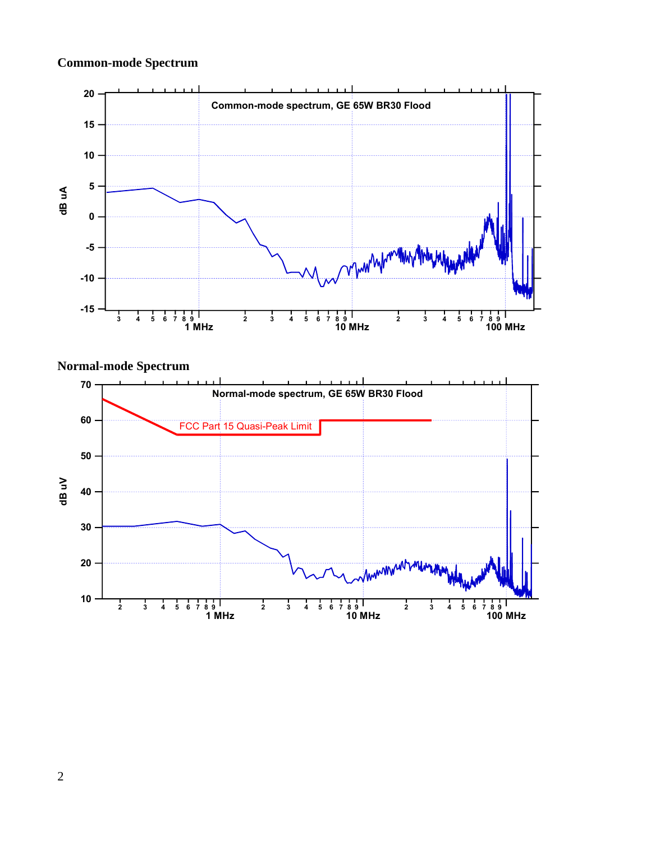# **Common-mode Spectrum**



## **Normal-mode Spectrum**